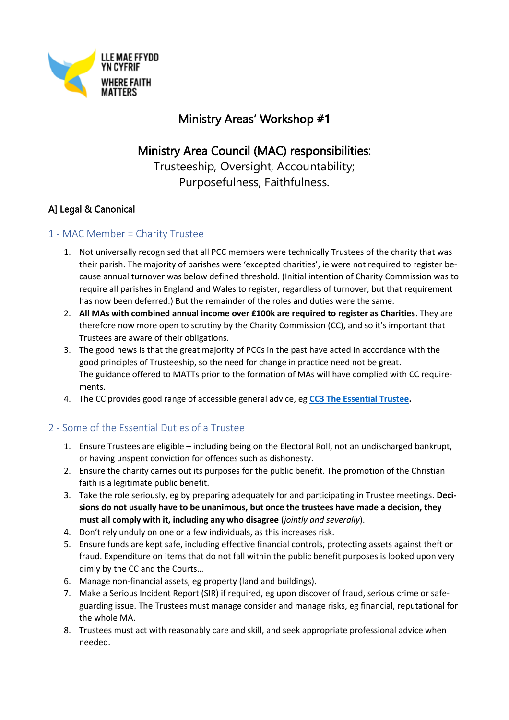

# Ministry Areas' Workshop #1

# Ministry Area Council (MAC) responsibilities:

Trusteeship, Oversight, Accountability; Purposefulness, Faithfulness.

# A] Legal & Canonical

## 1 - MAC Member = Charity Trustee

- 1. Not universally recognised that all PCC members were technically Trustees of the charity that was their parish. The majority of parishes were 'excepted charities', ie were not required to register because annual turnover was below defined threshold. (Initial intention of Charity Commission was to require all parishes in England and Wales to register, regardless of turnover, but that requirement has now been deferred.) But the remainder of the roles and duties were the same.
- 2. **All MAs with combined annual income over £100k are required to register as Charities**. They are therefore now more open to scrutiny by the Charity Commission (CC), and so it's important that Trustees are aware of their obligations.
- 3. The good news is that the great majority of PCCs in the past have acted in accordance with the good principles of Trusteeship, so the need for change in practice need not be great. The guidance offered to MATTs prior to the formation of MAs will have complied with CC requirements.
- 4. The CC provides good range of accessible general advice, eg **[CC3 The Essential Trustee.](https://www.gov.uk/government/publications/the-essential-trustee-what-you-need-to-know-cc3/the-essential-trustee-what-you-need-to-know-what-you-need-to-do)**

# 2 - Some of the Essential Duties of a Trustee

- 1. Ensure Trustees are eligible including being on the Electoral Roll, not an undischarged bankrupt, or having unspent conviction for offences such as dishonesty.
- 2. Ensure the charity carries out its purposes for the public benefit. The promotion of the Christian faith is a legitimate public benefit.
- 3. Take the role seriously, eg by preparing adequately for and participating in Trustee meetings. **Decisions do not usually have to be unanimous, but once the trustees have made a decision, they must all comply with it, including any who disagree** (*jointly and severally*).
- 4. Don't rely unduly on one or a few individuals, as this increases risk.
- 5. Ensure funds are kept safe, including effective financial controls, protecting assets against theft or fraud. Expenditure on items that do not fall within the public benefit purposes is looked upon very dimly by the CC and the Courts…
- 6. Manage non-financial assets, eg property (land and buildings).
- 7. Make a Serious Incident Report (SIR) if required, eg upon discover of fraud, serious crime or safeguarding issue. The Trustees must manage consider and manage risks, eg financial, reputational for the whole MA.
- 8. Trustees must act with reasonably care and skill, and seek appropriate professional advice when needed.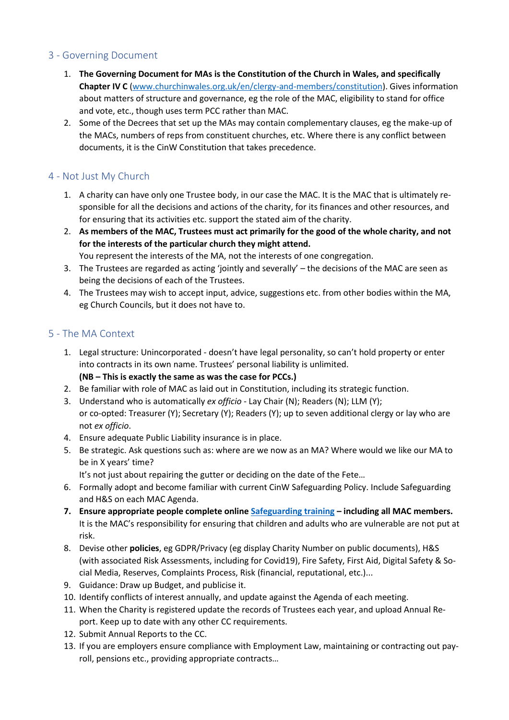## 3 - Governing Document

- 1. **The Governing Document for MAs is the Constitution of the Church in Wales, and specifically Chapter IV C** [\(www.churchinwales.org.uk/en/clergy-and-members/constitution\)](http://www.churchinwales.org.uk/en/clergy-and-members/constitution). Gives information about matters of structure and governance, eg the role of the MAC, eligibility to stand for office and vote, etc., though uses term PCC rather than MAC.
- 2. Some of the Decrees that set up the MAs may contain complementary clauses, eg the make-up of the MACs, numbers of reps from constituent churches, etc. Where there is any conflict between documents, it is the CinW Constitution that takes precedence.

## 4 - Not Just My Church

- 1. A charity can have only one Trustee body, in our case the MAC. It is the MAC that is ultimately responsible for all the decisions and actions of the charity, for its finances and other resources, and for ensuring that its activities etc. support the stated aim of the charity.
- 2. **As members of the MAC, Trustees must act primarily for the good of the whole charity, and not for the interests of the particular church they might attend.**

You represent the interests of the MA, not the interests of one congregation.

- 3. The Trustees are regarded as acting 'jointly and severally' the decisions of the MAC are seen as being the decisions of each of the Trustees.
- 4. The Trustees may wish to accept input, advice, suggestions etc. from other bodies within the MA, eg Church Councils, but it does not have to.

## 5 - The MA Context

- 1. Legal structure: Unincorporated doesn't have legal personality, so can't hold property or enter into contracts in its own name. Trustees' personal liability is unlimited. **(NB – This is exactly the same as was the case for PCCs.)**
- 2. Be familiar with role of MAC as laid out in Constitution, including its strategic function.
- 3. Understand who is automatically *ex officio* Lay Chair (N); Readers (N); LLM (Y); or co-opted: Treasurer (Y); Secretary (Y); Readers (Y); up to seven additional clergy or lay who are not *ex officio*.
- 4. Ensure adequate Public Liability insurance is in place.
- 5. Be strategic. Ask questions such as: where are we now as an MA? Where would we like our MA to be in X years' time?

It's not just about repairing the gutter or deciding on the date of the Fete…

- 6. Formally adopt and become familiar with current CinW Safeguarding Policy. Include Safeguarding and H&S on each MAC Agenda.
- **7. Ensure appropriate people complete onlin[e Safeguarding training](https://www.churchinwales.org.uk/en/safeguarding/safeguardingtraining/safeguarding-awareness-course/) – including all MAC members.** It is the MAC's responsibility for ensuring that children and adults who are vulnerable are not put at risk.
- 8. Devise other **policies**, eg GDPR/Privacy (eg display Charity Number on public documents), H&S (with associated Risk Assessments, including for Covid19), Fire Safety, First Aid, Digital Safety & Social Media, Reserves, Complaints Process, Risk (financial, reputational, etc.)...
- 9. Guidance: Draw up Budget, and publicise it.
- 10. Identify conflicts of interest annually, and update against the Agenda of each meeting.
- 11. When the Charity is registered update the records of Trustees each year, and upload Annual Report. Keep up to date with any other CC requirements.
- 12. Submit Annual Reports to the CC.
- 13. If you are employers ensure compliance with Employment Law, maintaining or contracting out payroll, pensions etc., providing appropriate contracts…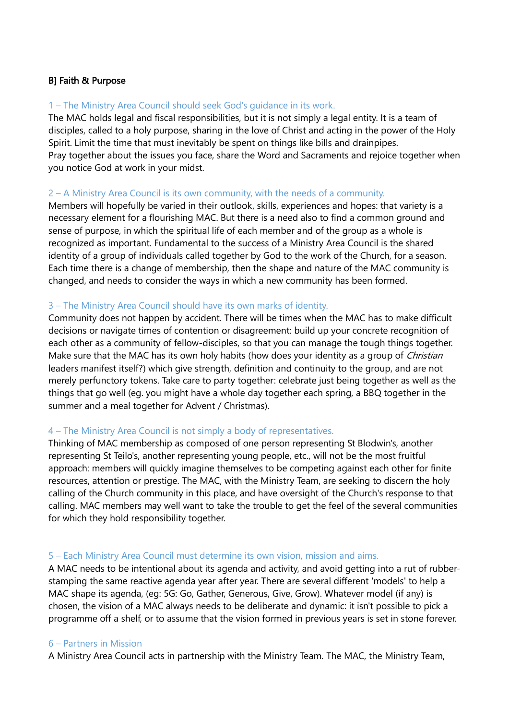### B] Faith & Purpose

#### 1 – The Ministry Area Council should seek God's guidance in its work.

The MAC holds legal and fiscal responsibilities, but it is not simply a legal entity. It is a team of disciples, called to a holy purpose, sharing in the love of Christ and acting in the power of the Holy Spirit. Limit the time that must inevitably be spent on things like bills and drainpipes. Pray together about the issues you face, share the Word and Sacraments and rejoice together when you notice God at work in your midst.

#### 2 – A Ministry Area Council is its own community, with the needs of a community.

Members will hopefully be varied in their outlook, skills, experiences and hopes: that variety is a necessary element for a flourishing MAC. But there is a need also to find a common ground and sense of purpose, in which the spiritual life of each member and of the group as a whole is recognized as important. Fundamental to the success of a Ministry Area Council is the shared identity of a group of individuals called together by God to the work of the Church, for a season. Each time there is a change of membership, then the shape and nature of the MAC community is changed, and needs to consider the ways in which a new community has been formed.

## 3 – The Ministry Area Council should have its own marks of identity.

Community does not happen by accident. There will be times when the MAC has to make difficult decisions or navigate times of contention or disagreement: build up your concrete recognition of each other as a community of fellow-disciples, so that you can manage the tough things together. Make sure that the MAC has its own holy habits (how does your identity as a group of *Christian* leaders manifest itself?) which give strength, definition and continuity to the group, and are not merely perfunctory tokens. Take care to party together: celebrate just being together as well as the things that go well (eg. you might have a whole day together each spring, a BBQ together in the summer and a meal together for Advent / Christmas).

#### 4 – The Ministry Area Council is not simply a body of representatives.

Thinking of MAC membership as composed of one person representing St Blodwin's, another representing St Teilo's, another representing young people, etc., will not be the most fruitful approach: members will quickly imagine themselves to be competing against each other for finite resources, attention or prestige. The MAC, with the Ministry Team, are seeking to discern the holy calling of the Church community in this place, and have oversight of the Church's response to that calling. MAC members may well want to take the trouble to get the feel of the several communities for which they hold responsibility together.

## 5 – Each Ministry Area Council must determine its own vision, mission and aims.

A MAC needs to be intentional about its agenda and activity, and avoid getting into a rut of rubberstamping the same reactive agenda year after year. There are several different 'models' to help a MAC shape its agenda, (eg: 5G: Go, Gather, Generous, Give, Grow). Whatever model (if any) is chosen, the vision of a MAC always needs to be deliberate and dynamic: it isn't possible to pick a programme off a shelf, or to assume that the vision formed in previous years is set in stone forever.

#### 6 – Partners in Mission

A Ministry Area Council acts in partnership with the Ministry Team. The MAC, the Ministry Team,